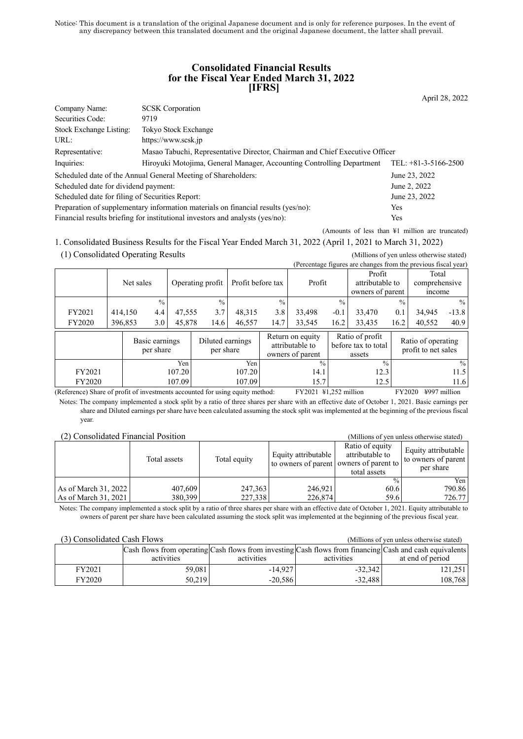Notice: This document is a translation of the original Japanese document and is only for reference purposes. In the event of any discrepancy between this translated document and the original Japanese document, the latter shall prevail.

### **Consolidated Financial Results for the Fiscal Year Ended March 31, 2022 [IFRS]**

April 28, 2022

| <b>SCSK</b> Corporation<br>Company Name:                                                        |                                                                       |                        |  |  |  |  |
|-------------------------------------------------------------------------------------------------|-----------------------------------------------------------------------|------------------------|--|--|--|--|
| Securities Code:                                                                                | 9719                                                                  |                        |  |  |  |  |
| Stock Exchange Listing:                                                                         | Tokyo Stock Exchange                                                  |                        |  |  |  |  |
| URL:                                                                                            | https://www.scsk.jp                                                   |                        |  |  |  |  |
| Masao Tabuchi, Representative Director, Chairman and Chief Executive Officer<br>Representative: |                                                                       |                        |  |  |  |  |
| Inquiries:                                                                                      | Hiroyuki Motojima, General Manager, Accounting Controlling Department | TEL: $+81-3-5166-2500$ |  |  |  |  |
|                                                                                                 | Scheduled date of the Annual General Meeting of Shareholders:         | June 23, 2022          |  |  |  |  |
| Scheduled date for dividend payment:                                                            |                                                                       | June 2, 2022           |  |  |  |  |
| Scheduled date for filing of Securities Report:                                                 |                                                                       | June 23, 2022          |  |  |  |  |
| Preparation of supplementary information materials on financial results (yes/no):<br>Yes        |                                                                       |                        |  |  |  |  |
| Financial results briefing for institutional investors and analysts (yes/no):<br>Yes            |                                                                       |                        |  |  |  |  |

(Amounts of less than ¥1 million are truncated)

1. Consolidated Business Results for the Fiscal Year Ended March 31, 2022 (April 1, 2021 to March 31, 2022) (1) Consolidated Operating Results (Millions of yen unless otherwise stated)<br>(Percentage figures are changes from the previous fiscal year)

|  |  |                    |           |                             |                                                                               |                               |                   |                                                         |                       |                 | Total<br>comprehensive<br><i>n</i> come                                                               |                                                                                                                                                                  |
|--|--|--------------------|-----------|-----------------------------|-------------------------------------------------------------------------------|-------------------------------|-------------------|---------------------------------------------------------|-----------------------|-----------------|-------------------------------------------------------------------------------------------------------|------------------------------------------------------------------------------------------------------------------------------------------------------------------|
|  |  | $\frac{0}{0}$      |           | $\frac{0}{0}$               |                                                                               | $\frac{0}{0}$                 |                   | $\frac{0}{0}$                                           |                       | $\frac{0}{0}$   |                                                                                                       | $\frac{0}{0}$                                                                                                                                                    |
|  |  | 4.4                |           | 3.7                         | 48,315                                                                        | 3.8                           | 33,498            | $-0.1$                                                  | 33,470                | 0.1             | 34,945                                                                                                | $-13.8$                                                                                                                                                          |
|  |  | 3.0                |           | 14.6                        | 46,557                                                                        | 14.7                          | 33,545            | 16.2                                                    | 33.435                | 16.2            | 40,552                                                                                                | 40.9                                                                                                                                                             |
|  |  |                    |           |                             |                                                                               |                               |                   |                                                         | assets                |                 |                                                                                                       |                                                                                                                                                                  |
|  |  |                    | Yen       |                             | Yen                                                                           |                               | $\frac{0}{0}$     |                                                         |                       |                 |                                                                                                       | $\%$                                                                                                                                                             |
|  |  |                    |           |                             | 107.20                                                                        |                               | 14.1              |                                                         |                       |                 |                                                                                                       | 11.5                                                                                                                                                             |
|  |  |                    |           |                             | 107.09                                                                        |                               | 15.7              |                                                         |                       |                 |                                                                                                       | 11.6                                                                                                                                                             |
|  |  | 414,150<br>396,853 | Net sales | Basic earnings<br>per share | Operating profit<br>47,555<br>45,878<br>107.20<br>107.09<br>$\cdot$ 1 $\circ$ | Diluted earnings<br>per share | Profit before tax | Return on equity<br>attributable to<br>owners of parent | Profit<br>$\cdot$ 1 1 | Ratio of profit | Profit<br>attributable to<br>owners of parent<br>before tax to total<br>$\frac{0}{0}$<br>12.3<br>12.5 | (Percentage figures are changes from the previous fiscal year)<br>Ratio of operating<br>profit to net sales<br><br>$\mathbf{17007}$<br>$\mathbf{u}$ $\mathbf{v}$ |

(Reference) Share of profit of investments accounted for using equity method: FY2021 ¥1,252 million FY2020 ¥997 million Notes: The company implemented a stock split by a ratio of three shares per share with an effective date of October 1, 2021. Basic earnings per share and Diluted earnings per share have been calculated assuming the stock split was implemented at the beginning of the previous fiscal year.

| (2) Consolidated Financial Position |              | (Millions of yen unless otherwise stated) |                     |                                                                                               |                                                         |
|-------------------------------------|--------------|-------------------------------------------|---------------------|-----------------------------------------------------------------------------------------------|---------------------------------------------------------|
|                                     | Total assets | Total equity                              | Equity attributable | Ratio of equity<br>attributable to<br>to owners of parent owners of parent to<br>total assets | Equity attributable<br>to owners of parent<br>per share |
|                                     |              |                                           |                     | $\frac{9}{6}$                                                                                 | Yen                                                     |
| As of March 31, 2022                | 407,609      | 247,363                                   | 246,921             | 60.6                                                                                          | 790.86                                                  |
| As of March $31, 2021$              | 380,399      | 227,338                                   | 226,874             | 59.6                                                                                          | 726.77                                                  |

Notes: The company implemented a stock split by a ratio of three shares per share with an effective date of October 1, 2021. Equity attributable to owners of parent per share have been calculated assuming the stock split was implemented at the beginning of the previous fiscal year.

| (3) Consolidated Cash Flows |                                                                                                         |            | (Millions of ven unless otherwise stated) |                  |
|-----------------------------|---------------------------------------------------------------------------------------------------------|------------|-------------------------------------------|------------------|
|                             | Cash flows from operating Cash flows from investing Cash flows from financing Cash and cash equivalents |            |                                           |                  |
|                             | activities                                                                                              | activities | activities                                | at end of period |
| FY2021                      | 59,081                                                                                                  | $-14.927$  | $-32.342$                                 | 121,251          |
| FY2020                      | 50,219                                                                                                  | $-20,586$  | $-32.488$                                 | 108,768          |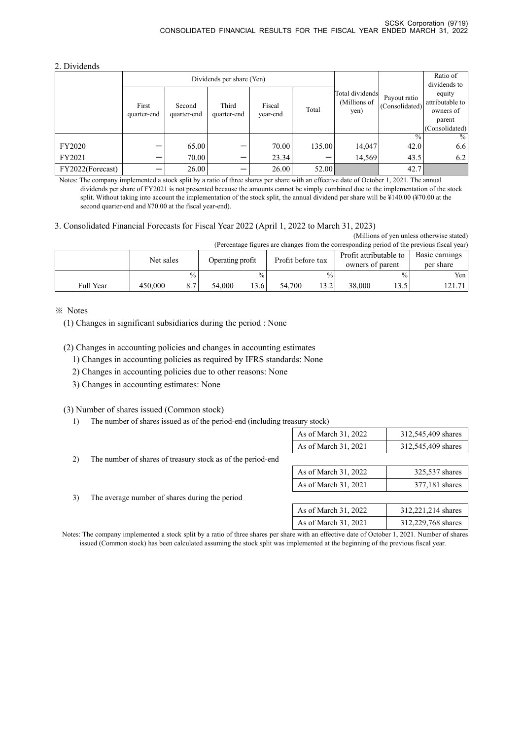#### 2. Dividends

|                  |                      |                       | Dividends per share (Yen) |                    |        | Ratio of<br>dividends to                |                                |                                                                    |
|------------------|----------------------|-----------------------|---------------------------|--------------------|--------|-----------------------------------------|--------------------------------|--------------------------------------------------------------------|
|                  | First<br>quarter-end | Second<br>quarter-end | Third<br>quarter-end      | Fiscal<br>year-end | Total  | Total dividends<br>(Millions of<br>yen) | Payout ratio<br>(Consolidated) | equity<br>attributable to<br>owners of<br>parent<br>(Consolidated) |
|                  |                      |                       |                           |                    |        |                                         | $\frac{0}{0}$                  | $\%$                                                               |
| FY2020           |                      | 65.00                 |                           | 70.00              | 135.00 | 14,047                                  | 42.0                           | 6.6                                                                |
| FY2021           |                      | 70.00                 |                           | 23.34              |        | 14,569                                  | 43.5                           | 6.2                                                                |
| FY2022(Forecast) |                      | 26.00                 |                           | 26.00              | 52.00  |                                         | 42.7                           |                                                                    |

Notes: The company implemented a stock split by a ratio of three shares per share with an effective date of October 1, 2021. The annual dividends per share of FY2021 is not presented because the amounts cannot be simply combined due to the implementation of the stock split. Without taking into account the implementation of the stock split, the annual dividend per share will be ¥140.00 (¥70.00 at the second quarter-end and ¥70.00 at the fiscal year-end).

### 3. Consolidated Financial Forecasts for Fiscal Year 2022 (April 1, 2022 to March 31, 2023)

(Millions of yen unless otherwise stated)<br>onding period of the previous fiscal year.

| (Percentage figures are changes from the corresponding period of the previous fiscal year) |           |               |                  |               |                   |               |                                            |               |                             |  |
|--------------------------------------------------------------------------------------------|-----------|---------------|------------------|---------------|-------------------|---------------|--------------------------------------------|---------------|-----------------------------|--|
|                                                                                            | Net sales |               | Operating profit |               | Profit before tax |               | Profit attributable to<br>owners of parent |               | Basic earnings<br>per share |  |
|                                                                                            |           | $\frac{0}{0}$ |                  | $\frac{0}{0}$ |                   | $\frac{0}{0}$ |                                            | $\frac{0}{0}$ | Yen                         |  |
| Full Year                                                                                  | 450,000   | 8.7           | 54.000           | 13.6          | 54.700            | 13.2          | 38,000                                     | 13.5          | 21.71                       |  |

#### ※ Notes

(1) Changes in significant subsidiaries during the period : None

#### (2) Changes in accounting policies and changes in accounting estimates

- 1) Changes in accounting policies as required by IFRS standards: None
- 2) Changes in accounting policies due to other reasons: None
- 3) Changes in accounting estimates: None

#### (3) Number of shares issued (Common stock)

1) The number of shares issued as of the period-end (including treasury stock)

| As of March 31, 2022 | 312,545,409 shares |
|----------------------|--------------------|
| As of March 31, 2021 | 312,545,409 shares |

2) The number of shares of treasury stock as of the period-end

3) The average number of shares during the period

|        | The number of shares of treasury stock as of the period-end |                      |                |
|--------|-------------------------------------------------------------|----------------------|----------------|
|        |                                                             | As of March 31, 2022 | 325,537 shares |
|        |                                                             | As of March 31, 2021 | 377,181 shares |
| $\sim$ | $^{\circ}$ 1<br>$T^{\prime}$                                |                      |                |

| As of March 31, 2022 | 312.221.214 shares |
|----------------------|--------------------|
| As of March 31, 2021 | 312,229,768 shares |

Notes: The company implemented a stock split by a ratio of three shares per share with an effective date of October 1, 2021. Number of shares issued (Common stock) has been calculated assuming the stock split was implemented at the beginning of the previous fiscal year.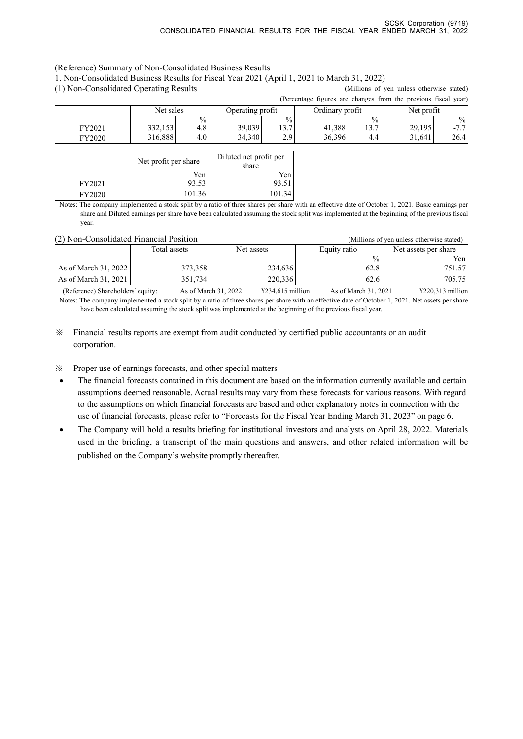### (Reference) Summary of Non-Consolidated Business Results

FY2020 101.36 101.34

1. Non-Consolidated Business Results for Fiscal Year 2021 (April 1, 2021 to March 31, 2022)

(1) Non-Consolidated Operating Results (Millions of yen unless otherwise stated)

|                  |                                          |              |                                 |                     |                  |                     | (Percentage figures are changes from the previous fiscal year) |                        |  |
|------------------|------------------------------------------|--------------|---------------------------------|---------------------|------------------|---------------------|----------------------------------------------------------------|------------------------|--|
|                  | Net sales                                |              | Operating profit                |                     | Ordinary profit  |                     | Net profit                                                     |                        |  |
| FY2021<br>FY2020 | $\%$<br>332,153<br>4.8<br>316,888<br>4.0 |              | 39,039<br>34,340                | $\%$<br>13.7<br>2.9 | 41,388<br>36,396 | $\%$<br>13.7<br>4.4 | 29,195<br>31,641                                               | $\%$<br>$-7.7$<br>26.4 |  |
|                  | Net profit per share                     |              | Diluted net profit per<br>share |                     |                  |                     |                                                                |                        |  |
| FY2021           |                                          | Yen<br>93.53 |                                 | Yen<br>93.51        |                  |                     |                                                                |                        |  |

Notes: The company implemented a stock split by a ratio of three shares per share with an effective date of October 1, 2021. Basic earnings per share and Diluted earnings per share have been calculated assuming the stock split was implemented at the beginning of the previous fiscal year.

#### (2) Non-Consolidated Financial Position (Millions of yen unless otherwise stated)

|                        |              | .          | $1.911.9111.900.0011.01.109.00000.00000$ |                      |
|------------------------|--------------|------------|------------------------------------------|----------------------|
|                        | Total assets | Net assets |                                          | Net assets per share |
|                        |              |            | $\frac{0}{0}$                            | Yenl                 |
| As of March $31, 2022$ | 373,358      | 234,636    | 62.8                                     | 751.57               |
| As of March $31,2021$  | 351,7341     | 220,336    | 62.6                                     | 705.75               |

(Reference) Shareholders' equity: As of March 31, 2022 ¥234,615 million As of March 31, 2021 ¥220,313 million Notes: The company implemented a stock split by a ratio of three shares per share with an effective date of October 1, 2021. Net assets per share have been calculated assuming the stock split was implemented at the beginning of the previous fiscal year.

※ Financial results reports are exempt from audit conducted by certified public accountants or an audit corporation.

※ Proper use of earnings forecasts, and other special matters

- The financial forecasts contained in this document are based on the information currently available and certain assumptions deemed reasonable. Actual results may vary from these forecasts for various reasons. With regard to the assumptions on which financial forecasts are based and other explanatory notes in connection with the use of financial forecasts, please refer to "Forecasts for the Fiscal Year Ending March 31, 2023" on page 6.
- The Company will hold a results briefing for institutional investors and analysts on April 28, 2022. Materials used in the briefing, a transcript of the main questions and answers, and other related information will be published on the Company's website promptly thereafter.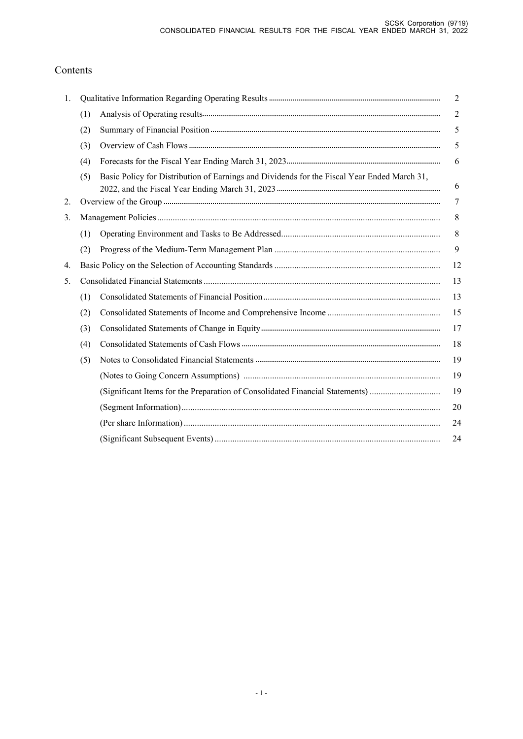# Contents

| 1. |     |                                                                                             | 2              |
|----|-----|---------------------------------------------------------------------------------------------|----------------|
|    | (1) |                                                                                             | $\overline{2}$ |
|    | (2) |                                                                                             | 5              |
|    | (3) |                                                                                             | 5              |
|    | (4) |                                                                                             | 6              |
|    | (5) | Basic Policy for Distribution of Earnings and Dividends for the Fiscal Year Ended March 31, | 6              |
| 2. |     |                                                                                             | 7              |
| 3. |     |                                                                                             | 8              |
|    | (1) |                                                                                             | 8              |
|    | (2) |                                                                                             | 9              |
| 4. |     |                                                                                             | 12             |
| 5. |     |                                                                                             | 13             |
|    | (1) |                                                                                             | 13             |
|    | (2) |                                                                                             | 15             |
|    | (3) |                                                                                             | 17             |
|    | (4) |                                                                                             | 18             |
|    | (5) |                                                                                             | 19             |
|    |     |                                                                                             | 19             |
|    |     | (Significant Items for the Preparation of Consolidated Financial Statements)                | 19             |
|    |     |                                                                                             | 20             |
|    |     |                                                                                             | 24             |
|    |     |                                                                                             | 24             |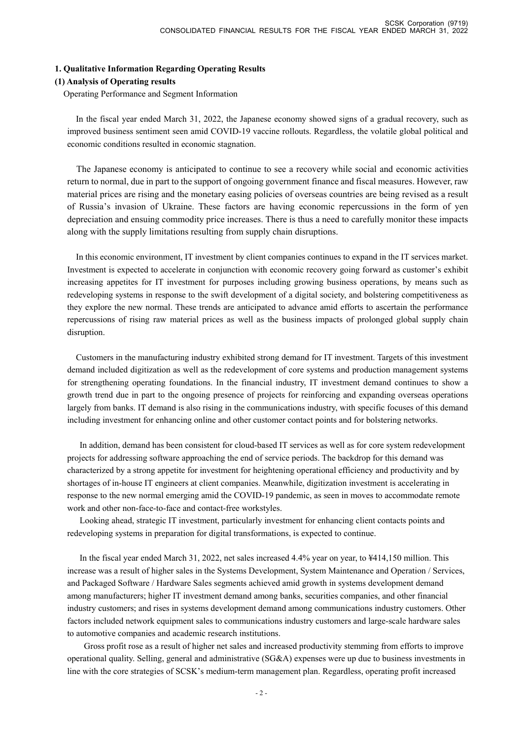#### **1. Qualitative Information Regarding Operating Results**

### **(1) Analysis of Operating results**

Operating Performance and Segment Information

In the fiscal year ended March 31, 2022, the Japanese economy showed signs of a gradual recovery, such as improved business sentiment seen amid COVID-19 vaccine rollouts. Regardless, the volatile global political and economic conditions resulted in economic stagnation.

The Japanese economy is anticipated to continue to see a recovery while social and economic activities return to normal, due in part to the support of ongoing government finance and fiscal measures. However, raw material prices are rising and the monetary easing policies of overseas countries are being revised as a result of Russia's invasion of Ukraine. These factors are having economic repercussions in the form of yen depreciation and ensuing commodity price increases. There is thus a need to carefully monitor these impacts along with the supply limitations resulting from supply chain disruptions.

In this economic environment, IT investment by client companies continues to expand in the IT services market. Investment is expected to accelerate in conjunction with economic recovery going forward as customer's exhibit increasing appetites for IT investment for purposes including growing business operations, by means such as redeveloping systems in response to the swift development of a digital society, and bolstering competitiveness as they explore the new normal. These trends are anticipated to advance amid efforts to ascertain the performance repercussions of rising raw material prices as well as the business impacts of prolonged global supply chain disruption.

Customers in the manufacturing industry exhibited strong demand for IT investment. Targets of this investment demand included digitization as well as the redevelopment of core systems and production management systems for strengthening operating foundations. In the financial industry, IT investment demand continues to show a growth trend due in part to the ongoing presence of projects for reinforcing and expanding overseas operations largely from banks. IT demand is also rising in the communications industry, with specific focuses of this demand including investment for enhancing online and other customer contact points and for bolstering networks.

In addition, demand has been consistent for cloud-based IT services as well as for core system redevelopment projects for addressing software approaching the end of service periods. The backdrop for this demand was characterized by a strong appetite for investment for heightening operational efficiency and productivity and by shortages of in-house IT engineers at client companies. Meanwhile, digitization investment is accelerating in response to the new normal emerging amid the COVID-19 pandemic, as seen in moves to accommodate remote work and other non-face-to-face and contact-free workstyles.

Looking ahead, strategic IT investment, particularly investment for enhancing client contacts points and redeveloping systems in preparation for digital transformations, is expected to continue.

In the fiscal year ended March 31, 2022, net sales increased 4.4% year on year, to ¥414,150 million. This increase was a result of higher sales in the Systems Development, System Maintenance and Operation / Services, and Packaged Software / Hardware Sales segments achieved amid growth in systems development demand among manufacturers; higher IT investment demand among banks, securities companies, and other financial industry customers; and rises in systems development demand among communications industry customers. Other factors included network equipment sales to communications industry customers and large-scale hardware sales to automotive companies and academic research institutions.

 Gross profit rose as a result of higher net sales and increased productivity stemming from efforts to improve operational quality. Selling, general and administrative (SG&A) expenses were up due to business investments in line with the core strategies of SCSK's medium-term management plan. Regardless, operating profit increased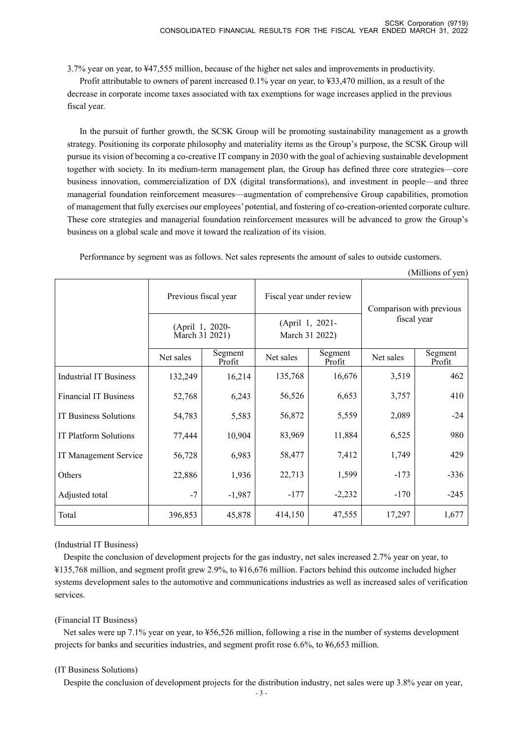3.7% year on year, to ¥47,555 million, because of the higher net sales and improvements in productivity.

Profit attributable to owners of parent increased 0.1% year on year, to ¥33,470 million, as a result of the decrease in corporate income taxes associated with tax exemptions for wage increases applied in the previous fiscal year.

In the pursuit of further growth, the SCSK Group will be promoting sustainability management as a growth strategy. Positioning its corporate philosophy and materiality items as the Group's purpose, the SCSK Group will pursue its vision of becoming a co-creative IT company in 2030 with the goal of achieving sustainable development together with society. In its medium-term management plan, the Group has defined three core strategies—core business innovation, commercialization of DX (digital transformations), and investment in people—and three managerial foundation reinforcement measures—augmentation of comprehensive Group capabilities, promotion of management that fully exercises our employees' potential, and fostering of co-creation-oriented corporate culture. These core strategies and managerial foundation reinforcement measures will be advanced to grow the Group's business on a global scale and move it toward the realization of its vision.

|                               | Previous fiscal year |                                                                        | Fiscal year under review |                   | Comparison with previous |                   |  |
|-------------------------------|----------------------|------------------------------------------------------------------------|--------------------------|-------------------|--------------------------|-------------------|--|
|                               |                      | (April 1, 2021-<br>(April 1, 2020-<br>March 31 2021)<br>March 31 2022) |                          | fiscal year       |                          |                   |  |
|                               | Net sales            | Segment<br>Net sales<br>Profit                                         |                          | Segment<br>Profit | Net sales                | Segment<br>Profit |  |
| <b>Industrial IT Business</b> | 132,249              | 16,214                                                                 | 135,768                  | 16,676            | 3,519                    | 462               |  |
| <b>Financial IT Business</b>  | 52,768               | 6,243                                                                  | 56,526                   | 6,653             | 3,757                    | 410               |  |
| <b>IT Business Solutions</b>  | 54,783               | 5,583                                                                  | 56,872                   | 5,559             | 2,089                    | $-24$             |  |
| <b>IT Platform Solutions</b>  | 77,444               | 10,904                                                                 | 83,969                   | 11,884            | 6,525                    | 980               |  |
| IT Management Service         | 56,728               | 6,983                                                                  | 58,477                   | 7,412             | 1,749                    | 429               |  |
| Others                        | 22,886               | 1,936                                                                  | 22,713                   | 1,599             | $-173$                   | $-336$            |  |
| Adjusted total                | $-7$                 | $-1,987$                                                               | $-177$                   | $-2,232$          | $-170$                   | $-245$            |  |
| Total                         | 396,853              | 45,878                                                                 | 414,150                  | 47,555            | 17,297                   | 1,677             |  |

#### Performance by segment was as follows. Net sales represents the amount of sales to outside customers.

(Millions of yen)

#### (Industrial IT Business)

Despite the conclusion of development projects for the gas industry, net sales increased 2.7% year on year, to ¥135,768 million, and segment profit grew 2.9%, to ¥16,676 million. Factors behind this outcome included higher systems development sales to the automotive and communications industries as well as increased sales of verification services.

#### (Financial IT Business)

Net sales were up 7.1% year on year, to ¥56,526 million, following a rise in the number of systems development projects for banks and securities industries, and segment profit rose 6.6%, to ¥6,653 million.

#### (IT Business Solutions)

Despite the conclusion of development projects for the distribution industry, net sales were up 3.8% year on year,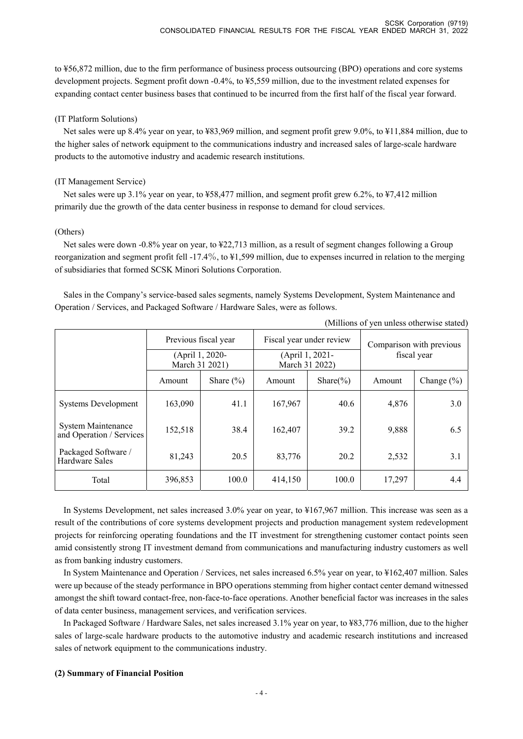to ¥56,872 million, due to the firm performance of business process outsourcing (BPO) operations and core systems development projects. Segment profit down -0.4%, to ¥5,559 million, due to the investment related expenses for expanding contact center business bases that continued to be incurred from the first half of the fiscal year forward.

### (IT Platform Solutions)

Net sales were up 8.4% year on year, to ¥83,969 million, and segment profit grew 9.0%, to ¥11,884 million, due to the higher sales of network equipment to the communications industry and increased sales of large-scale hardware products to the automotive industry and academic research institutions.

#### (IT Management Service)

Net sales were up 3.1% year on year, to ¥58,477 million, and segment profit grew 6.2%, to ¥7,412 million primarily due the growth of the data center business in response to demand for cloud services.

### (Others)

Net sales were down -0.8% year on year, to ¥22,713 million, as a result of segment changes following a Group reorganization and segment profit fell -17.4%, to ¥1,599 million, due to expenses incurred in relation to the merging of subsidiaries that formed SCSK Minori Solutions Corporation.

Sales in the Company's service-based sales segments, namely Systems Development, System Maintenance and Operation / Services, and Packaged Software / Hardware Sales, were as follows.

|                                                       |                                   | Previous fiscal year | Fiscal year under review |                 | Comparison with previous |                |  |
|-------------------------------------------------------|-----------------------------------|----------------------|--------------------------|-----------------|--------------------------|----------------|--|
|                                                       | (April 1, 2020-<br>March 31 2021) |                      | March 31 2022)           | (April 1, 2021- | fiscal year              |                |  |
|                                                       | Share $(\% )$<br>Amount           |                      | Amount                   | Share $(\% )$   | Amount                   | Change $(\% )$ |  |
| Systems Development                                   | 163,090                           | 41.1                 | 167,967                  | 40.6            | 4,876                    | 3.0            |  |
| <b>System Maintenance</b><br>and Operation / Services | 152,518                           | 38.4                 | 162,407                  | 39.2            | 9,888                    | 6.5            |  |
| Packaged Software /<br>Hardware Sales                 | 81,243                            | 20.5                 | 83,776                   | 20.2            | 2,532                    | 3.1            |  |
| Total                                                 | 396,853                           | 100.0                | 414,150                  | 100.0           | 17,297                   | 4.4            |  |

(Millions of yen unless otherwise stated)

In Systems Development, net sales increased 3.0% year on year, to ¥167,967 million. This increase was seen as a result of the contributions of core systems development projects and production management system redevelopment projects for reinforcing operating foundations and the IT investment for strengthening customer contact points seen amid consistently strong IT investment demand from communications and manufacturing industry customers as well as from banking industry customers.

In System Maintenance and Operation / Services, net sales increased 6.5% year on year, to ¥162,407 million. Sales were up because of the steady performance in BPO operations stemming from higher contact center demand witnessed amongst the shift toward contact-free, non-face-to-face operations. Another beneficial factor was increases in the sales of data center business, management services, and verification services.

In Packaged Software / Hardware Sales, net sales increased 3.1% year on year, to ¥83,776 million, due to the higher sales of large-scale hardware products to the automotive industry and academic research institutions and increased sales of network equipment to the communications industry.

#### **(2) Summary of Financial Position**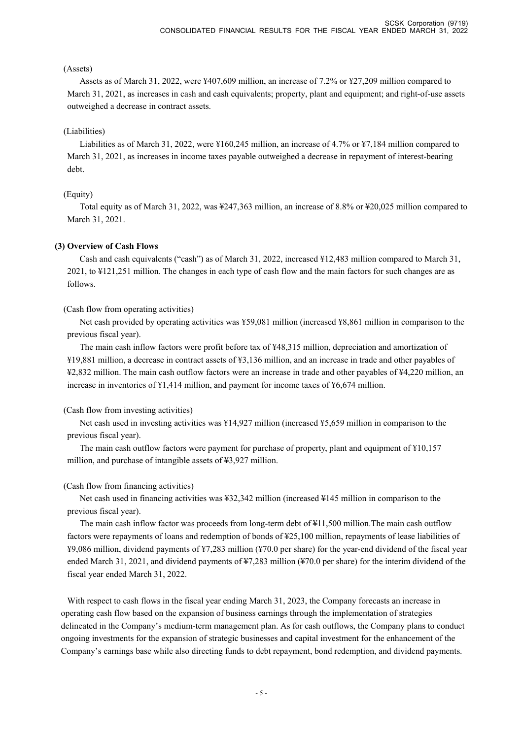### (Assets)

Assets as of March 31, 2022, were ¥407,609 million, an increase of 7.2% or ¥27,209 million compared to March 31, 2021, as increases in cash and cash equivalents; property, plant and equipment; and right-of-use assets outweighed a decrease in contract assets.

### (Liabilities)

Liabilities as of March 31, 2022, were ¥160,245 million, an increase of 4.7% or ¥7,184 million compared to March 31, 2021, as increases in income taxes payable outweighed a decrease in repayment of interest-bearing debt.

## (Equity)

Total equity as of March 31, 2022, was ¥247,363 million, an increase of 8.8% or ¥20,025 million compared to March 31, 2021.

### **(3) Overview of Cash Flows**

Cash and cash equivalents ("cash") as of March 31, 2022, increased ¥12,483 million compared to March 31, 2021, to ¥121,251 million. The changes in each type of cash flow and the main factors for such changes are as follows.

#### (Cash flow from operating activities)

Net cash provided by operating activities was ¥59,081 million (increased ¥8,861 million in comparison to the previous fiscal year).

The main cash inflow factors were profit before tax of ¥48,315 million, depreciation and amortization of ¥19,881 million, a decrease in contract assets of ¥3,136 million, and an increase in trade and other payables of ¥2,832 million. The main cash outflow factors were an increase in trade and other payables of ¥4,220 million, an increase in inventories of ¥1,414 million, and payment for income taxes of ¥6,674 million.

#### (Cash flow from investing activities)

Net cash used in investing activities was ¥14,927 million (increased ¥5,659 million in comparison to the previous fiscal year).

The main cash outflow factors were payment for purchase of property, plant and equipment of  $\frac{10,157}{2}$ million, and purchase of intangible assets of ¥3,927 million.

#### (Cash flow from financing activities)

Net cash used in financing activities was ¥32,342 million (increased ¥145 million in comparison to the previous fiscal year).

The main cash inflow factor was proceeds from long-term debt of ¥11,500 million.The main cash outflow factors were repayments of loans and redemption of bonds of ¥25,100 million, repayments of lease liabilities of ¥9,086 million, dividend payments of ¥7,283 million (¥70.0 per share) for the year-end dividend of the fiscal year ended March 31, 2021, and dividend payments of ¥7,283 million (¥70.0 per share) for the interim dividend of the fiscal year ended March 31, 2022.

With respect to cash flows in the fiscal year ending March 31, 2023, the Company forecasts an increase in operating cash flow based on the expansion of business earnings through the implementation of strategies delineated in the Company's medium-term management plan. As for cash outflows, the Company plans to conduct ongoing investments for the expansion of strategic businesses and capital investment for the enhancement of the Company's earnings base while also directing funds to debt repayment, bond redemption, and dividend payments.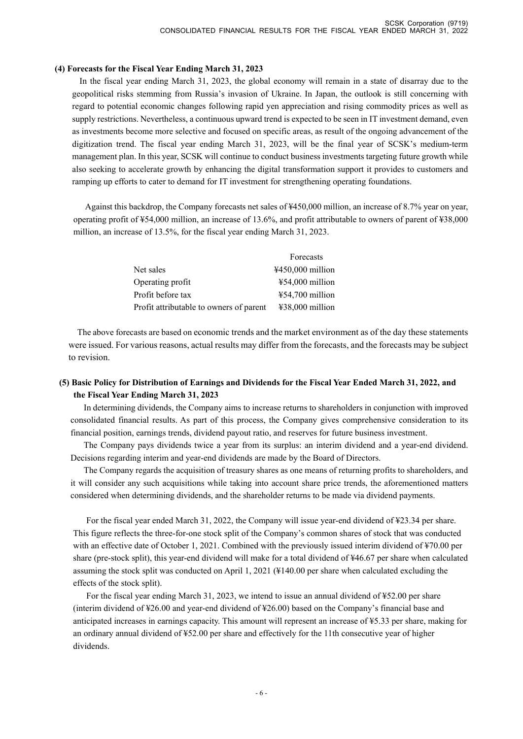## **(4) Forecasts for the Fiscal Year Ending March 31, 2023**

In the fiscal year ending March 31, 2023, the global economy will remain in a state of disarray due to the geopolitical risks stemming from Russia's invasion of Ukraine. In Japan, the outlook is still concerning with regard to potential economic changes following rapid yen appreciation and rising commodity prices as well as supply restrictions. Nevertheless, a continuous upward trend is expected to be seen in IT investment demand, even as investments become more selective and focused on specific areas, as result of the ongoing advancement of the digitization trend. The fiscal year ending March 31, 2023, will be the final year of SCSK's medium-term management plan. In this year, SCSK will continue to conduct business investments targeting future growth while also seeking to accelerate growth by enhancing the digital transformation support it provides to customers and ramping up efforts to cater to demand for IT investment for strengthening operating foundations.

Against this backdrop, the Company forecasts net sales of ¥450,000 million, an increase of 8.7% year on year, operating profit of ¥54,000 million, an increase of 13.6%, and profit attributable to owners of parent of ¥38,000 million, an increase of 13.5%, for the fiscal year ending March 31, 2023.

|                                         | Forecasts                            |
|-----------------------------------------|--------------------------------------|
| Net sales                               | $4450,000$ million                   |
| Operating profit                        | $\text{\#}54,000$ million            |
| Profit before tax                       | $\text{\#}54,700$ million            |
| Profit attributable to owners of parent | $\text{\textsterling}38,000$ million |

The above forecasts are based on economic trends and the market environment as of the day these statements were issued. For various reasons, actual results may differ from the forecasts, and the forecasts may be subject to revision.

## **(5) Basic Policy for Distribution of Earnings and Dividends for the Fiscal Year Ended March 31, 2022, and the Fiscal Year Ending March 31, 2023**

In determining dividends, the Company aims to increase returns to shareholders in conjunction with improved consolidated financial results. As part of this process, the Company gives comprehensive consideration to its financial position, earnings trends, dividend payout ratio, and reserves for future business investment.

The Company pays dividends twice a year from its surplus: an interim dividend and a year-end dividend. Decisions regarding interim and year-end dividends are made by the Board of Directors.

The Company regards the acquisition of treasury shares as one means of returning profits to shareholders, and it will consider any such acquisitions while taking into account share price trends, the aforementioned matters considered when determining dividends, and the shareholder returns to be made via dividend payments.

For the fiscal year ended March 31, 2022, the Company will issue year-end dividend of ¥23.34 per share. This figure reflects the three-for-one stock split of the Company's common shares of stock that was conducted with an effective date of October 1, 2021. Combined with the previously issued interim dividend of ¥70.00 per share (pre-stock split), this year-end dividend will make for a total dividend of ¥46.67 per share when calculated assuming the stock split was conducted on April 1, 2021 (¥140.00 per share when calculated excluding the effects of the stock split).

For the fiscal year ending March 31, 2023, we intend to issue an annual dividend of ¥52.00 per share (interim dividend of ¥26.00 and year-end dividend of ¥26.00) based on the Company's financial base and anticipated increases in earnings capacity. This amount will represent an increase of ¥5.33 per share, making for an ordinary annual dividend of ¥52.00 per share and effectively for the 11th consecutive year of higher dividends.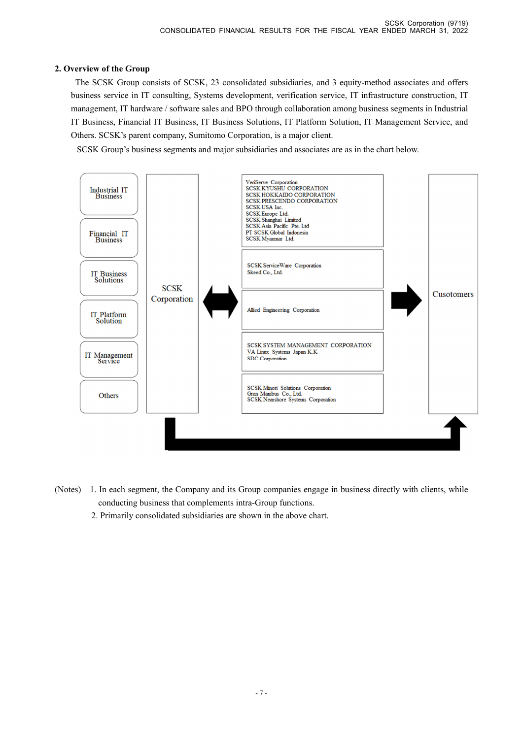## **2. Overview of the Group**

 The SCSK Group consists of SCSK, 23 consolidated subsidiaries, and 3 equity-method associates and offers business service in IT consulting, Systems development, verification service, IT infrastructure construction, IT management, IT hardware / software sales and BPO through collaboration among business segments in Industrial IT Business, Financial IT Business, IT Business Solutions, IT Platform Solution, IT Management Service, and Others. SCSK's parent company, Sumitomo Corporation, is a major client.

SCSK Group's business segments and major subsidiaries and associates are as in the chart below.



- (Notes) 1. In each segment, the Company and its Group companies engage in business directly with clients, while conducting business that complements intra-Group functions.
	- 2. Primarily consolidated subsidiaries are shown in the above chart.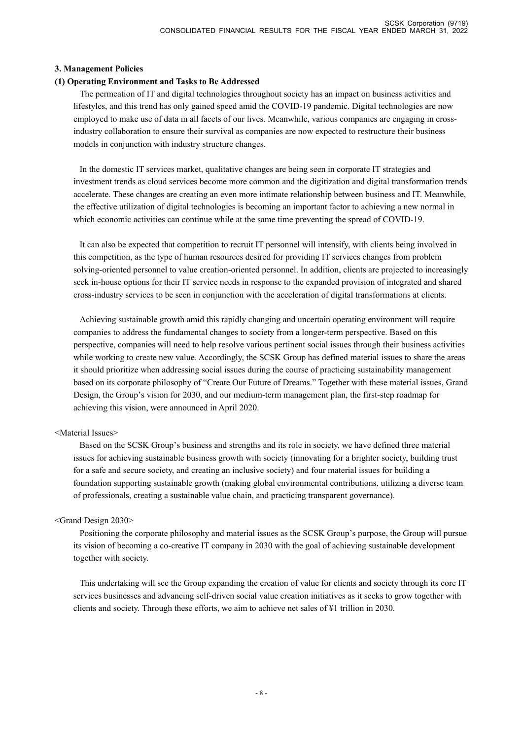## **3. Management Policies**

# **(1) Operating Environment and Tasks to Be Addressed**

The permeation of IT and digital technologies throughout society has an impact on business activities and lifestyles, and this trend has only gained speed amid the COVID-19 pandemic. Digital technologies are now employed to make use of data in all facets of our lives. Meanwhile, various companies are engaging in crossindustry collaboration to ensure their survival as companies are now expected to restructure their business models in conjunction with industry structure changes.

In the domestic IT services market, qualitative changes are being seen in corporate IT strategies and investment trends as cloud services become more common and the digitization and digital transformation trends accelerate. These changes are creating an even more intimate relationship between business and IT. Meanwhile, the effective utilization of digital technologies is becoming an important factor to achieving a new normal in which economic activities can continue while at the same time preventing the spread of COVID-19.

It can also be expected that competition to recruit IT personnel will intensify, with clients being involved in this competition, as the type of human resources desired for providing IT services changes from problem solving-oriented personnel to value creation-oriented personnel. In addition, clients are projected to increasingly seek in-house options for their IT service needs in response to the expanded provision of integrated and shared cross-industry services to be seen in conjunction with the acceleration of digital transformations at clients.

Achieving sustainable growth amid this rapidly changing and uncertain operating environment will require companies to address the fundamental changes to society from a longer-term perspective. Based on this perspective, companies will need to help resolve various pertinent social issues through their business activities while working to create new value. Accordingly, the SCSK Group has defined material issues to share the areas it should prioritize when addressing social issues during the course of practicing sustainability management based on its corporate philosophy of "Create Our Future of Dreams." Together with these material issues, Grand Design, the Group's vision for 2030, and our medium-term management plan, the first-step roadmap for achieving this vision, were announced in April 2020.

# <Material Issues>

Based on the SCSK Group's business and strengths and its role in society, we have defined three material issues for achieving sustainable business growth with society (innovating for a brighter society, building trust for a safe and secure society, and creating an inclusive society) and four material issues for building a foundation supporting sustainable growth (making global environmental contributions, utilizing a diverse team of professionals, creating a sustainable value chain, and practicing transparent governance).

# <Grand Design 2030>

Positioning the corporate philosophy and material issues as the SCSK Group's purpose, the Group will pursue its vision of becoming a co-creative IT company in 2030 with the goal of achieving sustainable development together with society.

This undertaking will see the Group expanding the creation of value for clients and society through its core IT services businesses and advancing self-driven social value creation initiatives as it seeks to grow together with clients and society. Through these efforts, we aim to achieve net sales of ¥1 trillion in 2030.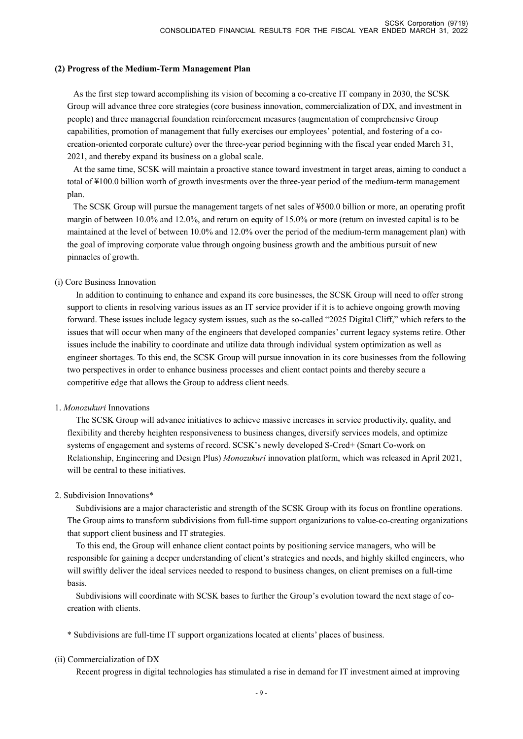#### **(2) Progress of the Medium-Term Management Plan**

As the first step toward accomplishing its vision of becoming a co-creative IT company in 2030, the SCSK Group will advance three core strategies (core business innovation, commercialization of DX, and investment in people) and three managerial foundation reinforcement measures (augmentation of comprehensive Group capabilities, promotion of management that fully exercises our employees' potential, and fostering of a cocreation-oriented corporate culture) over the three-year period beginning with the fiscal year ended March 31, 2021, and thereby expand its business on a global scale.

At the same time, SCSK will maintain a proactive stance toward investment in target areas, aiming to conduct a total of ¥100.0 billion worth of growth investments over the three-year period of the medium-term management plan.

The SCSK Group will pursue the management targets of net sales of ¥500.0 billion or more, an operating profit margin of between 10.0% and 12.0%, and return on equity of 15.0% or more (return on invested capital is to be maintained at the level of between 10.0% and 12.0% over the period of the medium-term management plan) with the goal of improving corporate value through ongoing business growth and the ambitious pursuit of new pinnacles of growth.

### (i) Core Business Innovation

In addition to continuing to enhance and expand its core businesses, the SCSK Group will need to offer strong support to clients in resolving various issues as an IT service provider if it is to achieve ongoing growth moving forward. These issues include legacy system issues, such as the so-called "2025 Digital Cliff," which refers to the issues that will occur when many of the engineers that developed companies' current legacy systems retire. Other issues include the inability to coordinate and utilize data through individual system optimization as well as engineer shortages. To this end, the SCSK Group will pursue innovation in its core businesses from the following two perspectives in order to enhance business processes and client contact points and thereby secure a competitive edge that allows the Group to address client needs.

## 1. *Monozukuri* Innovations

The SCSK Group will advance initiatives to achieve massive increases in service productivity, quality, and flexibility and thereby heighten responsiveness to business changes, diversify services models, and optimize systems of engagement and systems of record. SCSK's newly developed S-Cred+ (Smart Co-work on Relationship, Engineering and Design Plus) *Monozukuri* innovation platform, which was released in April 2021, will be central to these initiatives.

## 2. Subdivision Innovations\*

Subdivisions are a major characteristic and strength of the SCSK Group with its focus on frontline operations. The Group aims to transform subdivisions from full-time support organizations to value-co-creating organizations that support client business and IT strategies.

To this end, the Group will enhance client contact points by positioning service managers, who will be responsible for gaining a deeper understanding of client's strategies and needs, and highly skilled engineers, who will swiftly deliver the ideal services needed to respond to business changes, on client premises on a full-time basis.

Subdivisions will coordinate with SCSK bases to further the Group's evolution toward the next stage of cocreation with clients.

\* Subdivisions are full-time IT support organizations located at clients' places of business.

#### (ii) Commercialization of DX

Recent progress in digital technologies has stimulated a rise in demand for IT investment aimed at improving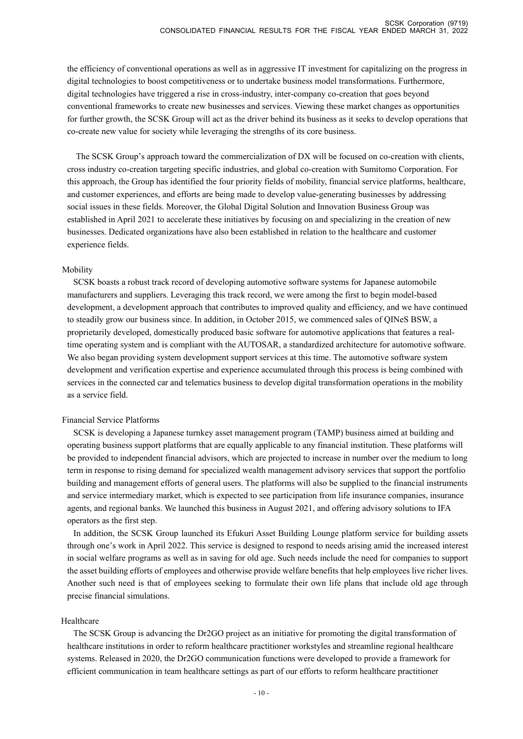the efficiency of conventional operations as well as in aggressive IT investment for capitalizing on the progress in digital technologies to boost competitiveness or to undertake business model transformations. Furthermore, digital technologies have triggered a rise in cross-industry, inter-company co-creation that goes beyond conventional frameworks to create new businesses and services. Viewing these market changes as opportunities for further growth, the SCSK Group will act as the driver behind its business as it seeks to develop operations that co-create new value for society while leveraging the strengths of its core business.

The SCSK Group's approach toward the commercialization of DX will be focused on co-creation with clients, cross industry co-creation targeting specific industries, and global co-creation with Sumitomo Corporation. For this approach, the Group has identified the four priority fields of mobility, financial service platforms, healthcare, and customer experiences, and efforts are being made to develop value-generating businesses by addressing social issues in these fields. Moreover, the Global Digital Solution and Innovation Business Group was established in April 2021 to accelerate these initiatives by focusing on and specializing in the creation of new businesses. Dedicated organizations have also been established in relation to the healthcare and customer experience fields.

#### Mobility

SCSK boasts a robust track record of developing automotive software systems for Japanese automobile manufacturers and suppliers. Leveraging this track record, we were among the first to begin model-based development, a development approach that contributes to improved quality and efficiency, and we have continued to steadily grow our business since. In addition, in October 2015, we commenced sales of QINeS BSW, a proprietarily developed, domestically produced basic software for automotive applications that features a realtime operating system and is compliant with the AUTOSAR, a standardized architecture for automotive software. We also began providing system development support services at this time. The automotive software system development and verification expertise and experience accumulated through this process is being combined with services in the connected car and telematics business to develop digital transformation operations in the mobility as a service field.

#### Financial Service Platforms

SCSK is developing a Japanese turnkey asset management program (TAMP) business aimed at building and operating business support platforms that are equally applicable to any financial institution. These platforms will be provided to independent financial advisors, which are projected to increase in number over the medium to long term in response to rising demand for specialized wealth management advisory services that support the portfolio building and management efforts of general users. The platforms will also be supplied to the financial instruments and service intermediary market, which is expected to see participation from life insurance companies, insurance agents, and regional banks. We launched this business in August 2021, and offering advisory solutions to IFA operators as the first step.

In addition, the SCSK Group launched its Efukuri Asset Building Lounge platform service for building assets through one's work in April 2022. This service is designed to respond to needs arising amid the increased interest in social welfare programs as well as in saving for old age. Such needs include the need for companies to support the asset building efforts of employees and otherwise provide welfare benefits that help employees live richer lives. Another such need is that of employees seeking to formulate their own life plans that include old age through precise financial simulations.

#### Healthcare

The SCSK Group is advancing the Dr2GO project as an initiative for promoting the digital transformation of healthcare institutions in order to reform healthcare practitioner workstyles and streamline regional healthcare systems. Released in 2020, the Dr2GO communication functions were developed to provide a framework for efficient communication in team healthcare settings as part of our efforts to reform healthcare practitioner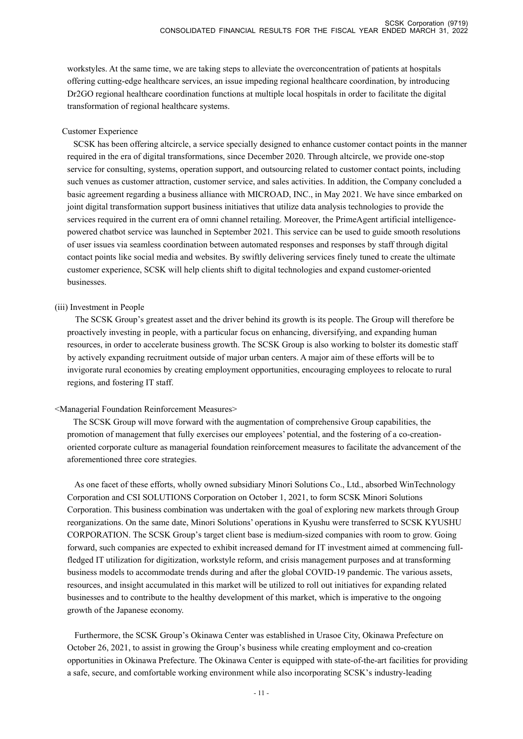workstyles. At the same time, we are taking steps to alleviate the overconcentration of patients at hospitals offering cutting-edge healthcare services, an issue impeding regional healthcare coordination, by introducing Dr2GO regional healthcare coordination functions at multiple local hospitals in order to facilitate the digital transformation of regional healthcare systems.

#### Customer Experience

SCSK has been offering altcircle, a service specially designed to enhance customer contact points in the manner required in the era of digital transformations, since December 2020. Through altcircle, we provide one-stop service for consulting, systems, operation support, and outsourcing related to customer contact points, including such venues as customer attraction, customer service, and sales activities. In addition, the Company concluded a basic agreement regarding a business alliance with MICROAD, INC., in May 2021. We have since embarked on joint digital transformation support business initiatives that utilize data analysis technologies to provide the services required in the current era of omni channel retailing. Moreover, the PrimeAgent artificial intelligencepowered chatbot service was launched in September 2021. This service can be used to guide smooth resolutions of user issues via seamless coordination between automated responses and responses by staff through digital contact points like social media and websites. By swiftly delivering services finely tuned to create the ultimate customer experience, SCSK will help clients shift to digital technologies and expand customer-oriented businesses.

#### (iii) Investment in People

The SCSK Group's greatest asset and the driver behind its growth is its people. The Group will therefore be proactively investing in people, with a particular focus on enhancing, diversifying, and expanding human resources, in order to accelerate business growth. The SCSK Group is also working to bolster its domestic staff by actively expanding recruitment outside of major urban centers. A major aim of these efforts will be to invigorate rural economies by creating employment opportunities, encouraging employees to relocate to rural regions, and fostering IT staff.

## <Managerial Foundation Reinforcement Measures>

The SCSK Group will move forward with the augmentation of comprehensive Group capabilities, the promotion of management that fully exercises our employees' potential, and the fostering of a co-creationoriented corporate culture as managerial foundation reinforcement measures to facilitate the advancement of the aforementioned three core strategies.

As one facet of these efforts, wholly owned subsidiary Minori Solutions Co., Ltd., absorbed WinTechnology Corporation and CSI SOLUTIONS Corporation on October 1, 2021, to form SCSK Minori Solutions Corporation. This business combination was undertaken with the goal of exploring new markets through Group reorganizations. On the same date, Minori Solutions' operations in Kyushu were transferred to SCSK KYUSHU CORPORATION. The SCSK Group's target client base is medium-sized companies with room to grow. Going forward, such companies are expected to exhibit increased demand for IT investment aimed at commencing fullfledged IT utilization for digitization, workstyle reform, and crisis management purposes and at transforming business models to accommodate trends during and after the global COVID-19 pandemic. The various assets, resources, and insight accumulated in this market will be utilized to roll out initiatives for expanding related businesses and to contribute to the healthy development of this market, which is imperative to the ongoing growth of the Japanese economy.

Furthermore, the SCSK Group's Okinawa Center was established in Urasoe City, Okinawa Prefecture on October 26, 2021, to assist in growing the Group's business while creating employment and co-creation opportunities in Okinawa Prefecture. The Okinawa Center is equipped with state-of-the-art facilities for providing a safe, secure, and comfortable working environment while also incorporating SCSK's industry-leading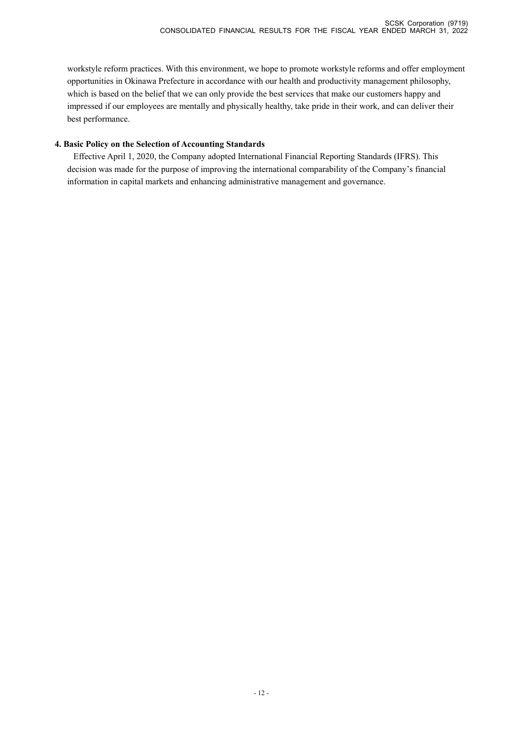workstyle reform practices. With this environment, we hope to promote workstyle reforms and offer employment opportunities in Okinawa Prefecture in accordance with our health and productivity management philosophy, which is based on the belief that we can only provide the best services that make our customers happy and impressed if our employees are mentally and physically healthy, take pride in their work, and can deliver their best performance.

## **4. Basic Policy on the Selection of Accounting Standards**

Effective April 1, 2020, the Company adopted International Financial Reporting Standards (IFRS). This decision was made for the purpose of improving the international comparability of the Company's financial information in capital markets and enhancing administrative management and governance.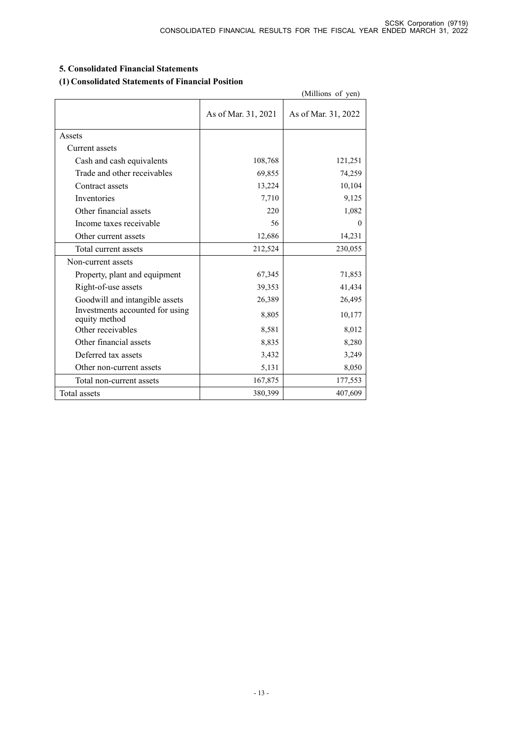## **5. Consolidated Financial Statements**

## **(1) Consolidated Statements of Financial Position**

|                                                  |                     | (Millions of yen)   |
|--------------------------------------------------|---------------------|---------------------|
|                                                  | As of Mar. 31, 2021 | As of Mar. 31, 2022 |
| Assets                                           |                     |                     |
| Current assets                                   |                     |                     |
| Cash and cash equivalents                        | 108,768             | 121,251             |
| Trade and other receivables                      | 69,855              | 74,259              |
| Contract assets                                  | 13,224              | 10,104              |
| Inventories                                      | 7,710               | 9,125               |
| Other financial assets                           | 220                 | 1,082               |
| Income taxes receivable                          | 56                  | $\Omega$            |
| Other current assets                             | 12,686              | 14,231              |
| Total current assets                             | 212,524             | 230,055             |
| Non-current assets                               |                     |                     |
| Property, plant and equipment                    | 67,345              | 71,853              |
| Right-of-use assets                              | 39,353              | 41,434              |
| Goodwill and intangible assets                   | 26,389              | 26,495              |
| Investments accounted for using<br>equity method | 8,805               | 10,177              |
| Other receivables                                | 8,581               | 8,012               |
| Other financial assets                           | 8,835               | 8,280               |
| Deferred tax assets                              | 3,432               | 3,249               |
| Other non-current assets                         | 5,131               | 8,050               |
| Total non-current assets                         | 167,875             | 177,553             |
| Total assets                                     | 380,399             | 407,609             |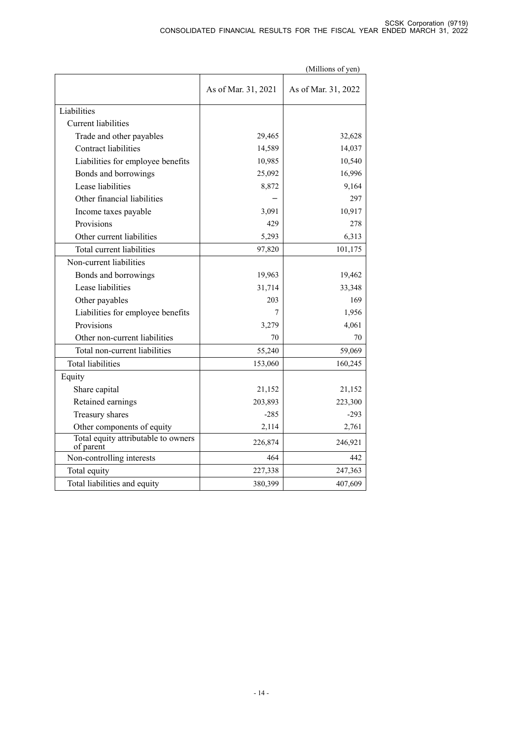|                                                  | (Millions of yen)   |                     |  |  |  |
|--------------------------------------------------|---------------------|---------------------|--|--|--|
|                                                  | As of Mar. 31, 2021 | As of Mar. 31, 2022 |  |  |  |
| Liabilities                                      |                     |                     |  |  |  |
| <b>Current</b> liabilities                       |                     |                     |  |  |  |
| Trade and other payables                         | 29,465              | 32,628              |  |  |  |
| <b>Contract liabilities</b>                      | 14,589              | 14,037              |  |  |  |
| Liabilities for employee benefits                | 10,985              | 10,540              |  |  |  |
| Bonds and borrowings                             | 25,092              | 16,996              |  |  |  |
| Lease liabilities                                | 8,872               | 9.164               |  |  |  |
| Other financial liabilities                      |                     | 297                 |  |  |  |
| Income taxes payable                             | 3,091               | 10,917              |  |  |  |
| Provisions                                       | 429                 | 278                 |  |  |  |
| Other current liabilities                        | 5,293               | 6,313               |  |  |  |
| Total current liabilities                        | 97,820              | 101,175             |  |  |  |
| Non-current liabilities                          |                     |                     |  |  |  |
| Bonds and borrowings                             | 19,963              | 19,462              |  |  |  |
| Lease liabilities                                | 31,714              | 33,348              |  |  |  |
| Other payables                                   | 203                 | 169                 |  |  |  |
| Liabilities for employee benefits                | 7                   | 1,956               |  |  |  |
| Provisions                                       | 3,279               | 4,061               |  |  |  |
| Other non-current liabilities                    | 70                  | 70                  |  |  |  |
| Total non-current liabilities                    | 55,240              | 59,069              |  |  |  |
| <b>Total liabilities</b>                         | 153,060             | 160,245             |  |  |  |
| Equity                                           |                     |                     |  |  |  |
| Share capital                                    | 21,152              | 21,152              |  |  |  |
| Retained earnings                                | 203,893             | 223,300             |  |  |  |
| Treasury shares                                  | $-285$              | $-293$              |  |  |  |
| Other components of equity                       | 2,114               | 2,761               |  |  |  |
| Total equity attributable to owners<br>of parent | 226,874             | 246,921             |  |  |  |
| Non-controlling interests                        | 464                 | 442                 |  |  |  |
| Total equity                                     | 227,338             | 247,363             |  |  |  |
| Total liabilities and equity                     | 380,399             | 407,609             |  |  |  |
|                                                  |                     |                     |  |  |  |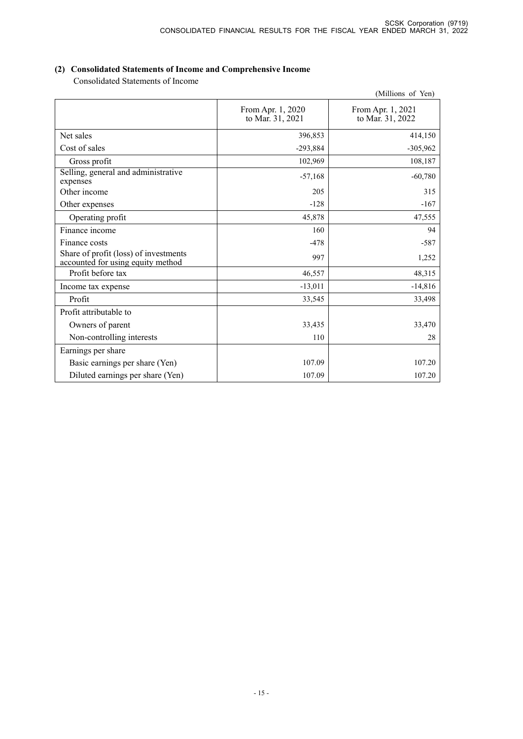## **(2) Consolidated Statements of Income and Comprehensive Income**

Consolidated Statements of Income

|                                                                            |                                       | (Millions of Yen)                     |
|----------------------------------------------------------------------------|---------------------------------------|---------------------------------------|
|                                                                            | From Apr. 1, 2020<br>to Mar. 31, 2021 | From Apr. 1, 2021<br>to Mar. 31, 2022 |
| Net sales                                                                  | 396,853                               | 414,150                               |
| Cost of sales                                                              | $-293,884$                            | $-305,962$                            |
| Gross profit                                                               | 102,969                               | 108,187                               |
| Selling, general and administrative<br>expenses                            | $-57,168$                             | $-60,780$                             |
| Other income                                                               | 205                                   | 315                                   |
| Other expenses                                                             | $-128$                                | $-167$                                |
| Operating profit                                                           | 45,878                                | 47,555                                |
| Finance income                                                             | 160                                   | 94                                    |
| Finance costs                                                              | $-478$                                | $-587$                                |
| Share of profit (loss) of investments<br>accounted for using equity method | 997                                   | 1,252                                 |
| Profit before tax                                                          | 46,557                                | 48,315                                |
| Income tax expense                                                         | $-13,011$                             | $-14,816$                             |
| Profit                                                                     | 33,545                                | 33,498                                |
| Profit attributable to                                                     |                                       |                                       |
| Owners of parent                                                           | 33,435                                | 33,470                                |
| Non-controlling interests                                                  | 110                                   | 28                                    |
| Earnings per share                                                         |                                       |                                       |
| Basic earnings per share (Yen)                                             | 107.09                                | 107.20                                |
| Diluted earnings per share (Yen)                                           | 107.09                                | 107.20                                |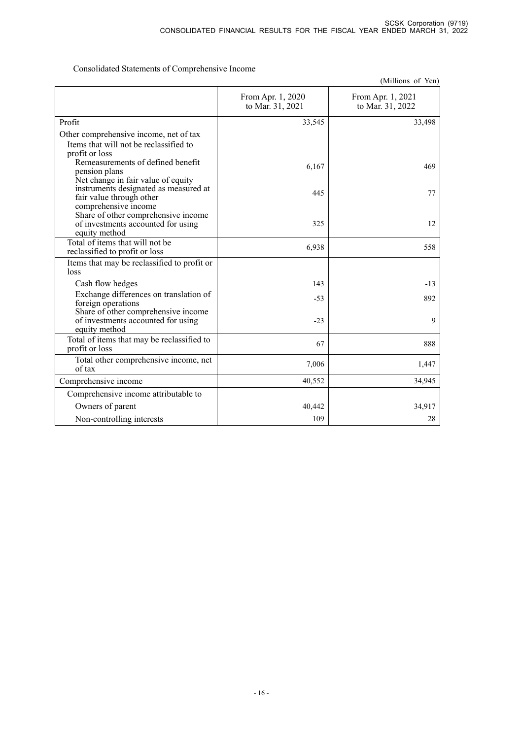Consolidated Statements of Comprehensive Income

|                                                                                                    |                                       | (Millions of Yen)                     |
|----------------------------------------------------------------------------------------------------|---------------------------------------|---------------------------------------|
|                                                                                                    | From Apr. 1, 2020<br>to Mar. 31, 2021 | From Apr. 1, 2021<br>to Mar. 31, 2022 |
| Profit                                                                                             | 33,545                                | 33,498                                |
| Other comprehensive income, net of tax<br>Items that will not be reclassified to<br>profit or loss |                                       |                                       |
| Remeasurements of defined benefit<br>pension plans<br>Net change in fair value of equity           | 6,167                                 | 469                                   |
| instruments designated as measured at<br>fair value through other<br>comprehensive income          | 445                                   | 77                                    |
| Share of other comprehensive income<br>of investments accounted for using<br>equity method         | 325                                   | 12                                    |
| Total of items that will not be<br>reclassified to profit or loss                                  | 6,938                                 | 558                                   |
| Items that may be reclassified to profit or<br>loss                                                |                                       |                                       |
| Cash flow hedges                                                                                   | 143                                   | $-13$                                 |
| Exchange differences on translation of<br>foreign operations                                       | $-53$                                 | 892                                   |
| Share of other comprehensive income<br>of investments accounted for using<br>equity method         | $-23$                                 | 9                                     |
| Total of items that may be reclassified to<br>profit or loss                                       | 67                                    | 888                                   |
| Total other comprehensive income, net<br>of tax                                                    | 7,006                                 | 1,447                                 |
| Comprehensive income                                                                               | 40,552                                | 34,945                                |
| Comprehensive income attributable to                                                               |                                       |                                       |
| Owners of parent                                                                                   | 40,442                                | 34,917                                |
| Non-controlling interests                                                                          | 109                                   | 28                                    |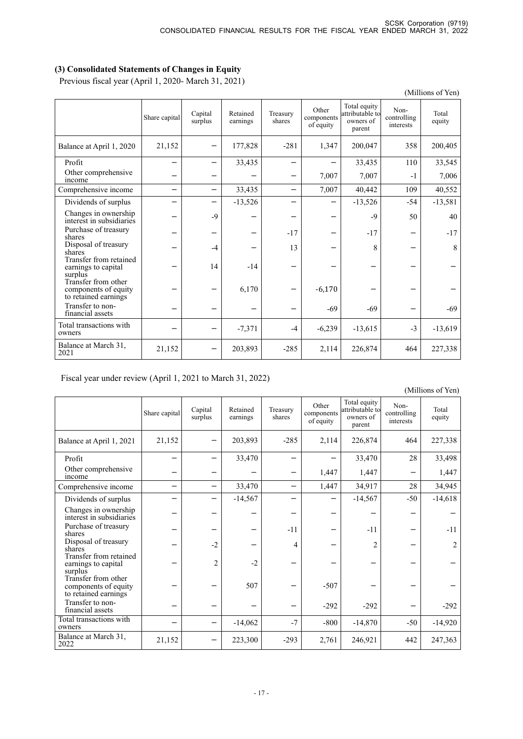## **(3) Consolidated Statements of Changes in Equity**

Previous fiscal year (April 1, 2020- March 31, 2021)

|                                                                     |               |                    |                      |                    |                                  |                                                        |                                  | (Millions of Yen) |
|---------------------------------------------------------------------|---------------|--------------------|----------------------|--------------------|----------------------------------|--------------------------------------------------------|----------------------------------|-------------------|
|                                                                     | Share capital | Capital<br>surplus | Retained<br>earnings | Treasury<br>shares | Other<br>components<br>of equity | Total equity<br>attributable to<br>owners of<br>parent | Non-<br>controlling<br>interests | Total<br>equity   |
| Balance at April 1, 2020                                            | 21,152        |                    | 177,828              | $-281$             | 1,347                            | 200,047                                                | 358                              | 200,405           |
| Profit                                                              |               |                    | 33,435               |                    |                                  | 33,435                                                 | 110                              | 33,545            |
| Other comprehensive<br>income                                       |               |                    |                      |                    | 7,007                            | 7,007                                                  | $-1$                             | 7,006             |
| Comprehensive income                                                | —             | —                  | 33,435               | —                  | 7,007                            | 40,442                                                 | 109                              | 40,552            |
| Dividends of surplus                                                |               |                    | $-13,526$            |                    |                                  | $-13,526$                                              | $-54$                            | $-13,581$         |
| Changes in ownership<br>interest in subsidiaries                    |               | $-9$               |                      |                    |                                  | $-9$                                                   | 50                               | 40                |
| Purchase of treasury<br>shares                                      |               |                    |                      | $-17$              |                                  | $-17$                                                  |                                  | $-17$             |
| Disposal of treasury<br>shares                                      |               | $-4$               |                      | 13                 |                                  | 8                                                      |                                  | 8                 |
| Transfer from retained<br>earnings to capital<br>surplus            |               | 14                 | $-14$                |                    |                                  |                                                        |                                  |                   |
| Transfer from other<br>components of equity<br>to retained earnings |               |                    | 6,170                |                    | $-6,170$                         |                                                        |                                  |                   |
| Transfer to non-<br>financial assets                                |               |                    |                      |                    | $-69$                            | $-69$                                                  |                                  | $-69$             |
| Total transactions with<br>owners                                   |               |                    | $-7,371$             | $-4$               | $-6,239$                         | $-13,615$                                              | $-3$                             | $-13,619$         |
| Balance at March 31,<br>2021                                        | 21,152        |                    | 203,893              | $-285$             | 2,114                            | 226,874                                                | 464                              | 227,338           |

## Fiscal year under review (April 1, 2021 to March 31, 2022)

|                                                                     |               |                    |                      |                    |                                  |                                                        |                                  | (1)             |
|---------------------------------------------------------------------|---------------|--------------------|----------------------|--------------------|----------------------------------|--------------------------------------------------------|----------------------------------|-----------------|
|                                                                     | Share capital | Capital<br>surplus | Retained<br>earnings | Treasury<br>shares | Other<br>components<br>of equity | Total equity<br>attributable to<br>owners of<br>parent | Non-<br>controlling<br>interests | Total<br>equity |
| Balance at April 1, 2021                                            | 21,152        |                    | 203,893              | $-285$             | 2,114                            | 226,874                                                | 464                              | 227,338         |
| Profit                                                              |               |                    | 33,470               |                    |                                  | 33,470                                                 | 28                               | 33,498          |
| Other comprehensive<br>income                                       |               |                    |                      |                    | 1,447                            | 1,447                                                  |                                  | 1,447           |
| Comprehensive income                                                | —             |                    | 33,470               | —                  | 1,447                            | 34,917                                                 | 28                               | 34,945          |
| Dividends of surplus                                                | -             |                    | $-14,567$            |                    |                                  | $-14,567$                                              | $-50$                            | $-14,618$       |
| Changes in ownership<br>interest in subsidiaries                    |               |                    |                      |                    |                                  |                                                        |                                  |                 |
| Purchase of treasury<br>shares                                      |               |                    |                      | $-11$              |                                  | $-11$                                                  |                                  | $-11$           |
| Disposal of treasury<br>shares                                      |               | $-2$               |                      | 4                  |                                  | $\overline{2}$                                         |                                  | $\overline{c}$  |
| Transfer from retained<br>earnings to capital<br>surplus            |               | $\overline{2}$     | $-2$                 |                    |                                  |                                                        |                                  |                 |
| Transfer from other<br>components of equity<br>to retained earnings |               |                    | 507                  |                    | $-507$                           |                                                        |                                  |                 |
| Transfer to non-<br>financial assets                                |               |                    |                      |                    | $-292$                           | $-292$                                                 |                                  | $-292$          |
| Total transactions with<br>owners                                   |               |                    | $-14,062$            | $-7$               | $-800$                           | $-14,870$                                              | $-50$                            | $-14,920$       |
| Balance at March 31,<br>2022                                        | 21,152        |                    | 223,300              | $-293$             | 2,761                            | 246,921                                                | 442                              | 247,363         |

(Millions of Yen)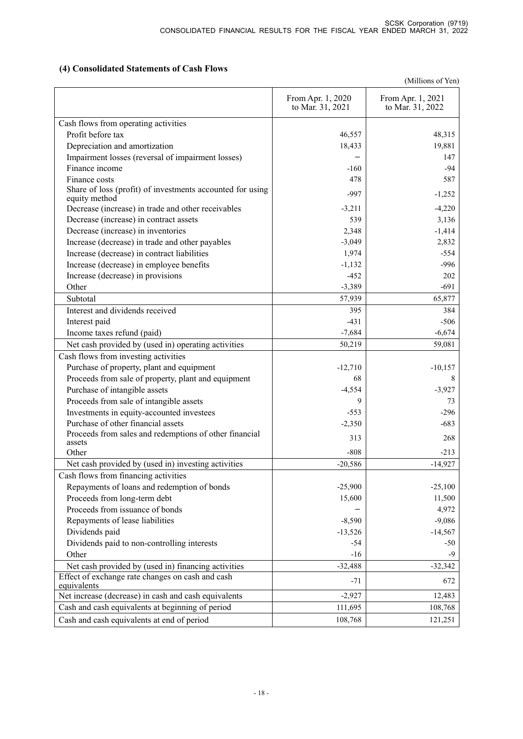# **(4) Consolidated Statements of Cash Flows**

|                                                                                                         |                                       | (Millions of Yen)                     |
|---------------------------------------------------------------------------------------------------------|---------------------------------------|---------------------------------------|
|                                                                                                         | From Apr. 1, 2020<br>to Mar. 31, 2021 | From Apr. 1, 2021<br>to Mar. 31, 2022 |
| Cash flows from operating activities                                                                    |                                       |                                       |
| Profit before tax                                                                                       | 46,557                                | 48,315                                |
| Depreciation and amortization                                                                           | 18,433                                | 19,881                                |
| Impairment losses (reversal of impairment losses)                                                       |                                       | 147                                   |
| Finance income                                                                                          | $-160$                                | $-94$                                 |
| Finance costs                                                                                           | 478                                   | 587                                   |
| Share of loss (profit) of investments accounted for using<br>equity method                              | $-997$                                | $-1,252$                              |
| Decrease (increase) in trade and other receivables                                                      | $-3,211$                              | $-4,220$                              |
| Decrease (increase) in contract assets                                                                  | 539                                   | 3,136                                 |
| Decrease (increase) in inventories                                                                      | 2,348                                 | $-1,414$                              |
| Increase (decrease) in trade and other payables                                                         | $-3,049$                              | 2,832                                 |
| Increase (decrease) in contract liabilities                                                             | 1,974                                 | $-554$                                |
| Increase (decrease) in employee benefits                                                                | $-1,132$                              | $-996$                                |
| Increase (decrease) in provisions                                                                       | $-452$                                | 202                                   |
| Other                                                                                                   | $-3,389$                              | $-691$                                |
| Subtotal                                                                                                | 57,939                                | 65,877                                |
| Interest and dividends received                                                                         | 395                                   | 384                                   |
| Interest paid                                                                                           | $-431$                                | $-506$                                |
| Income taxes refund (paid)                                                                              | $-7,684$                              | $-6,674$                              |
| Net cash provided by (used in) operating activities                                                     | 50,219                                | 59,081                                |
| Cash flows from investing activities                                                                    |                                       |                                       |
| Purchase of property, plant and equipment                                                               | $-12,710$                             | $-10,157$                             |
| Proceeds from sale of property, plant and equipment                                                     | 68                                    | 8                                     |
| Purchase of intangible assets                                                                           | $-4,554$                              | $-3,927$                              |
| Proceeds from sale of intangible assets                                                                 | 9                                     | 73                                    |
| Investments in equity-accounted investees                                                               | $-553$                                | $-296$                                |
| Purchase of other financial assets                                                                      | $-2,350$                              | $-683$                                |
| Proceeds from sales and redemptions of other financial                                                  | 313                                   | 268                                   |
| assets                                                                                                  |                                       |                                       |
| Other                                                                                                   | $-808$                                | $-213$                                |
| Net cash provided by (used in) investing activities                                                     | $-20,586$                             | $-14,927$                             |
| Cash flows from financing activities                                                                    |                                       |                                       |
| Repayments of loans and redemption of bonds                                                             | $-25,900$                             | $-25,100$                             |
| Proceeds from long-term debt                                                                            | 15,600                                | 11,500                                |
| Proceeds from issuance of bonds                                                                         |                                       | 4,972                                 |
| Repayments of lease liabilities                                                                         | $-8,590$                              | $-9,086$                              |
| Dividends paid                                                                                          | $-13,526$                             | $-14,567$                             |
| Dividends paid to non-controlling interests                                                             | $-54$                                 | $-50$                                 |
| Other                                                                                                   | $-16$                                 | -9                                    |
| Net cash provided by (used in) financing activities<br>Effect of exchange rate changes on cash and cash | $-32,488$                             | $-32,342$                             |
| equivalents                                                                                             | $-71$                                 | 672                                   |
| Net increase (decrease) in cash and cash equivalents                                                    | $-2,927$                              | 12,483                                |
| Cash and cash equivalents at beginning of period                                                        | 111,695                               | 108,768                               |
| Cash and cash equivalents at end of period                                                              | 108,768                               | 121,251                               |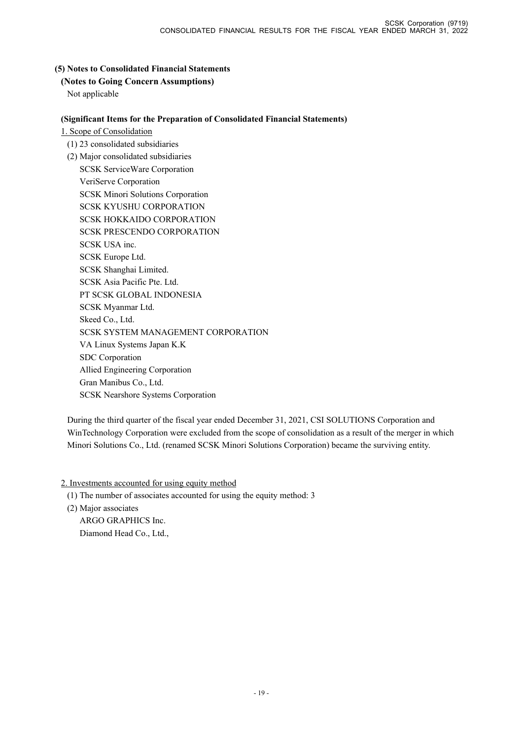## **(5) Notes to Consolidated Financial Statements**

## **(Notes to Going Concern Assumptions)**

Not applicable

## **(Significant Items for the Preparation of Consolidated Financial Statements)**

## 1. Scope of Consolidation

(1) 23 consolidated subsidiaries

(2) Major consolidated subsidiaries SCSK ServiceWare Corporation VeriServe Corporation SCSK Minori Solutions Corporation SCSK KYUSHU CORPORATION SCSK HOKKAIDO CORPORATION SCSK PRESCENDO CORPORATION SCSK USA inc. SCSK Europe Ltd. SCSK Shanghai Limited. SCSK Asia Pacific Pte. Ltd. PT SCSK GLOBAL INDONESIA SCSK Myanmar Ltd. Skeed Co., Ltd. SCSK SYSTEM MANAGEMENT CORPORATION VA Linux Systems Japan K.K SDC Corporation Allied Engineering Corporation Gran Manibus Co., Ltd. SCSK Nearshore Systems Corporation

During the third quarter of the fiscal year ended December 31, 2021, CSI SOLUTIONS Corporation and WinTechnology Corporation were excluded from the scope of consolidation as a result of the merger in which Minori Solutions Co., Ltd. (renamed SCSK Minori Solutions Corporation) became the surviving entity.

2. Investments accounted for using equity method

(1) The number of associates accounted for using the equity method: 3

(2) Major associates

ARGO GRAPHICS Inc. Diamond Head Co., Ltd.,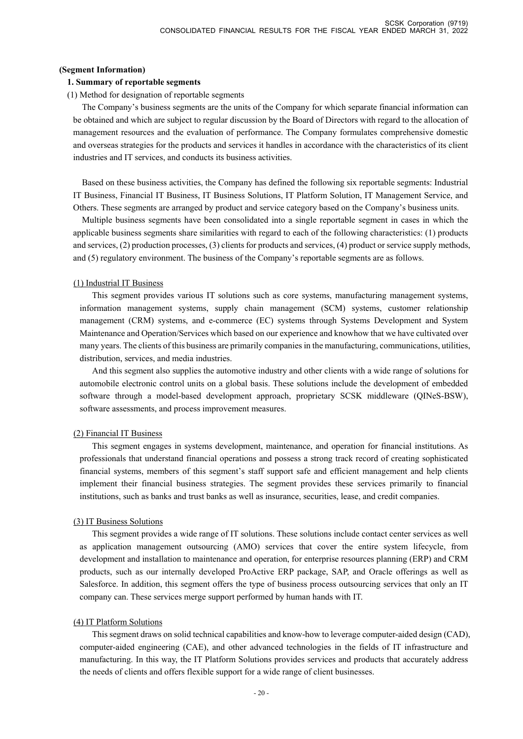#### **(Segment Information)**

#### **1. Summary of reportable segments**

(1) Method for designation of reportable segments

The Company's business segments are the units of the Company for which separate financial information can be obtained and which are subject to regular discussion by the Board of Directors with regard to the allocation of management resources and the evaluation of performance. The Company formulates comprehensive domestic and overseas strategies for the products and services it handles in accordance with the characteristics of its client industries and IT services, and conducts its business activities.

Based on these business activities, the Company has defined the following six reportable segments: Industrial IT Business, Financial IT Business, IT Business Solutions, IT Platform Solution, IT Management Service, and Others. These segments are arranged by product and service category based on the Company's business units.

Multiple business segments have been consolidated into a single reportable segment in cases in which the applicable business segments share similarities with regard to each of the following characteristics: (1) products and services, (2) production processes, (3) clients for products and services, (4) product or service supply methods, and (5) regulatory environment. The business of the Company's reportable segments are as follows.

#### (1) Industrial IT Business

This segment provides various IT solutions such as core systems, manufacturing management systems, information management systems, supply chain management (SCM) systems, customer relationship management (CRM) systems, and e-commerce (EC) systems through Systems Development and System Maintenance and Operation/Services which based on our experience and knowhow that we have cultivated over many years. The clients of this business are primarily companies in the manufacturing, communications, utilities, distribution, services, and media industries.

And this segment also supplies the automotive industry and other clients with a wide range of solutions for automobile electronic control units on a global basis. These solutions include the development of embedded software through a model-based development approach, proprietary SCSK middleware (QINeS-BSW), software assessments, and process improvement measures.

#### (2) Financial IT Business

This segment engages in systems development, maintenance, and operation for financial institutions. As professionals that understand financial operations and possess a strong track record of creating sophisticated financial systems, members of this segment's staff support safe and efficient management and help clients implement their financial business strategies. The segment provides these services primarily to financial institutions, such as banks and trust banks as well as insurance, securities, lease, and credit companies.

#### (3) IT Business Solutions

This segment provides a wide range of IT solutions. These solutions include contact center services as well as application management outsourcing (AMO) services that cover the entire system lifecycle, from development and installation to maintenance and operation, for enterprise resources planning (ERP) and CRM products, such as our internally developed ProActive ERP package, SAP, and Oracle offerings as well as Salesforce. In addition, this segment offers the type of business process outsourcing services that only an IT company can. These services merge support performed by human hands with IT.

#### (4) IT Platform Solutions

This segment draws on solid technical capabilities and know-how to leverage computer-aided design (CAD), computer-aided engineering (CAE), and other advanced technologies in the fields of IT infrastructure and manufacturing. In this way, the IT Platform Solutions provides services and products that accurately address the needs of clients and offers flexible support for a wide range of client businesses.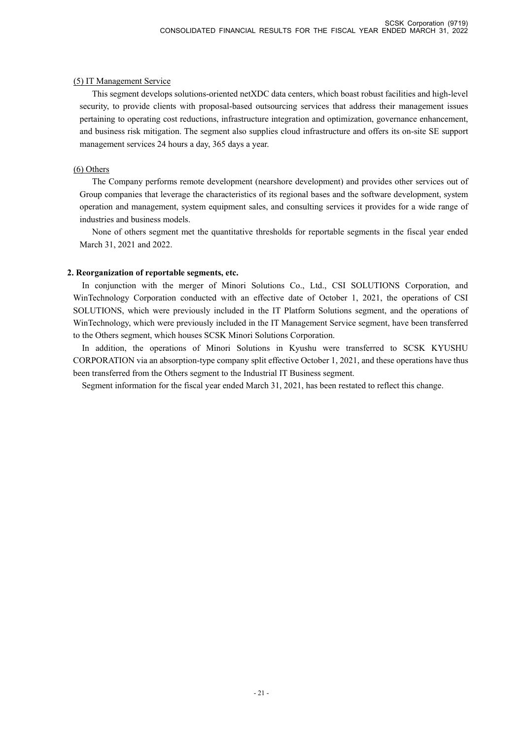#### (5) IT Management Service

This segment develops solutions-oriented netXDC data centers, which boast robust facilities and high-level security, to provide clients with proposal-based outsourcing services that address their management issues pertaining to operating cost reductions, infrastructure integration and optimization, governance enhancement, and business risk mitigation. The segment also supplies cloud infrastructure and offers its on-site SE support management services 24 hours a day, 365 days a year.

### (6) Others

The Company performs remote development (nearshore development) and provides other services out of Group companies that leverage the characteristics of its regional bases and the software development, system operation and management, system equipment sales, and consulting services it provides for a wide range of industries and business models.

None of others segment met the quantitative thresholds for reportable segments in the fiscal year ended March 31, 2021 and 2022.

### **2. Reorganization of reportable segments, etc.**

In conjunction with the merger of Minori Solutions Co., Ltd., CSI SOLUTIONS Corporation, and WinTechnology Corporation conducted with an effective date of October 1, 2021, the operations of CSI SOLUTIONS, which were previously included in the IT Platform Solutions segment, and the operations of WinTechnology, which were previously included in the IT Management Service segment, have been transferred to the Others segment, which houses SCSK Minori Solutions Corporation.

In addition, the operations of Minori Solutions in Kyushu were transferred to SCSK KYUSHU CORPORATION via an absorption-type company split effective October 1, 2021, and these operations have thus been transferred from the Others segment to the Industrial IT Business segment.

Segment information for the fiscal year ended March 31, 2021, has been restated to reflect this change.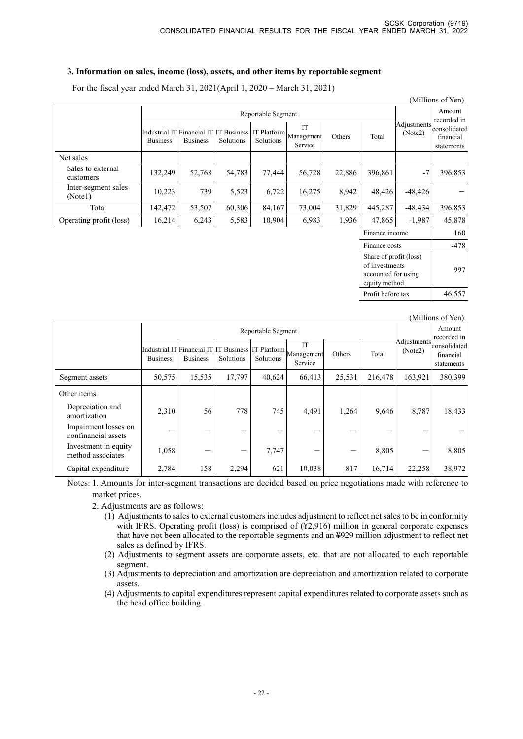## **3. Information on sales, income (loss), assets, and other items by reportable segment**

| For the fiscal year ended March 31, $2021(Apri1, 2020 - March 31, 2021)$ |  |
|--------------------------------------------------------------------------|--|
|--------------------------------------------------------------------------|--|

|                                |                 |                                                                       |           |                    |                             |        |                                                                 |                        | (Millions of Yen)                                                |
|--------------------------------|-----------------|-----------------------------------------------------------------------|-----------|--------------------|-----------------------------|--------|-----------------------------------------------------------------|------------------------|------------------------------------------------------------------|
|                                |                 |                                                                       |           | Reportable Segment |                             |        |                                                                 |                        | Amount<br>recorded in<br>consolidated<br>financial<br>statements |
|                                | <b>Business</b> | Industrial IT Financial IT IT Business IT Platform<br><b>Business</b> | Solutions | Solutions          | IT<br>Management<br>Service | Others | Total                                                           | Adjustments<br>(Note2) |                                                                  |
| Net sales                      |                 |                                                                       |           |                    |                             |        |                                                                 |                        |                                                                  |
| Sales to external<br>customers | 132,249         | 52,768                                                                | 54,783    | 77,444             | 56,728                      | 22,886 | 396,861                                                         | $-7$                   | 396,853                                                          |
| Inter-segment sales<br>(Note1) | 10,223          | 739                                                                   | 5,523     | 6,722              | 16,275                      | 8,942  | 48,426                                                          | $-48,426$              |                                                                  |
| Total                          | 142,472         | 53,507                                                                | 60,306    | 84,167             | 73,004                      | 31,829 | 445,287                                                         | $-48,434$              | 396,853                                                          |
| Operating profit (loss)        | 16,214          | 6,243                                                                 | 5,583     | 10,904             | 6,983                       | 1,936  | 47,865                                                          | $-1,987$               | 45,878                                                           |
|                                |                 |                                                                       |           |                    |                             |        | Finance income                                                  |                        | 160                                                              |
|                                |                 |                                                                       |           |                    |                             |        | Finance costs                                                   |                        | -478                                                             |
|                                |                 |                                                                       |           |                    |                             |        | Share of profit (loss)<br>of investments<br>accounted for using |                        | 997                                                              |

| (Millions of Yen) |  |
|-------------------|--|
|                   |  |

equity method

| (Millions of Yen)                           |                 |                                                                       |           |                       |                             |        |         |                        |                                         |
|---------------------------------------------|-----------------|-----------------------------------------------------------------------|-----------|-----------------------|-----------------------------|--------|---------|------------------------|-----------------------------------------|
|                                             |                 |                                                                       |           | Amount<br>recorded in |                             |        |         |                        |                                         |
|                                             | <b>Business</b> | Industrial IT Financial IT IT Business IT Platform<br><b>Business</b> | Solutions | Solutions             | IT<br>Management<br>Service | Others | Total   | Adjustments<br>(Note2) | consolidated<br>financial<br>statements |
| Segment assets                              | 50,575          | 15,535                                                                | 17,797    | 40,624                | 66,413                      | 25,531 | 216,478 | 163,921                | 380,399                                 |
| Other items                                 |                 |                                                                       |           |                       |                             |        |         |                        |                                         |
| Depreciation and<br>amortization            | 2,310           | 56                                                                    | 778       | 745                   | 4,491                       | 1,264  | 9,646   | 8,787                  | 18,433                                  |
| Impairment losses on<br>nonfinancial assets |                 |                                                                       |           |                       |                             |        | –       |                        |                                         |
| Investment in equity<br>method associates   | 1,058           |                                                                       |           | 7,747                 |                             |        | 8,805   |                        | 8,805                                   |
| Capital expenditure                         | 2,784           | 158                                                                   | 2,294     | 621                   | 10,038                      | 817    | 16,714  | 22,258                 | 38,972                                  |

Profit before tax  $46,557$ 

Notes: 1. Amounts for inter-segment transactions are decided based on price negotiations made with reference to market prices.

2. Adjustments are as follows:

- (1) Adjustments to sales to external customers includes adjustment to reflect net sales to be in conformity with IFRS. Operating profit (loss) is comprised of (¥2,916) million in general corporate expenses that have not been allocated to the reportable segments and an ¥929 million adjustment to reflect net sales as defined by IFRS.
- (2) Adjustments to segment assets are corporate assets, etc. that are not allocated to each reportable segment.
- (3) Adjustments to depreciation and amortization are depreciation and amortization related to corporate assets.
- (4) Adjustments to capital expenditures represent capital expenditures related to corporate assets such as the head office building.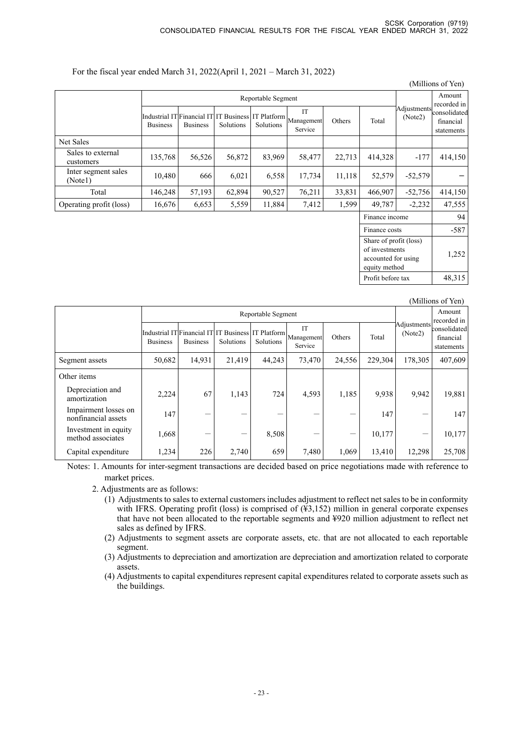## For the fiscal year ended March 31, 2022(April 1, 2021 – March 31, 2022)

|                                |                    |                 |           |           |                                                                                                                     |        |                                                                 |                        | (Millions of Yen)                       |
|--------------------------------|--------------------|-----------------|-----------|-----------|---------------------------------------------------------------------------------------------------------------------|--------|-----------------------------------------------------------------|------------------------|-----------------------------------------|
|                                | Reportable Segment |                 |           |           |                                                                                                                     |        |                                                                 |                        | Amount<br>recorded in                   |
|                                | <b>Business</b>    | <b>Business</b> | Solutions | Solutions | IT<br>Industrial IT $\Big \text{Financial IT}\Big $ IT Business IT Platform $\Big \text{Mangement}\Big $<br>Service | Others | Total                                                           | Adjustments<br>(Note2) | consolidated<br>financial<br>statements |
| Net Sales                      |                    |                 |           |           |                                                                                                                     |        |                                                                 |                        |                                         |
| Sales to external<br>customers | 135,768            | 56,526          | 56,872    | 83,969    | 58,477                                                                                                              | 22,713 | 414,328                                                         | $-177$                 | 414,150                                 |
| Inter segment sales<br>(Note1) | 10,480             | 666             | 6,021     | 6,558     | 17,734                                                                                                              | 11,118 | 52,579                                                          | $-52,579$              |                                         |
| Total                          | 146,248            | 57,193          | 62,894    | 90,527    | 76,211                                                                                                              | 33,831 | 466,907                                                         | $-52,756$              | 414,150                                 |
| Operating profit (loss)        | 16,676             | 6,653           | 5,559     | 11,884    | 7,412                                                                                                               | 1,599  | 49,787                                                          | $-2,232$               | 47,555                                  |
|                                |                    |                 |           |           |                                                                                                                     |        | Finance income                                                  |                        | 94                                      |
|                                |                    |                 |           |           |                                                                                                                     |        | Finance costs                                                   |                        | $-587$                                  |
|                                |                    |                 |           |           |                                                                                                                     |        | Share of profit (loss)<br>of investments<br>accounted for using |                        | 1,252                                   |

| (Millions of Yen) |
|-------------------|
|-------------------|

equity method

| (Millions of Yen)                           |                                                                       |                 |           |           |                             |        |         |                        |                                         |
|---------------------------------------------|-----------------------------------------------------------------------|-----------------|-----------|-----------|-----------------------------|--------|---------|------------------------|-----------------------------------------|
|                                             | Reportable Segment                                                    |                 |           |           |                             |        |         |                        | Amount<br>recorded in                   |
|                                             | Industrial IT Financial IT IT Business IT Platform<br><b>Business</b> | <b>Business</b> | Solutions | Solutions | IT<br>Management<br>Service | Others | Total   | Adjustments<br>(Note2) | consolidated<br>financial<br>statements |
| Segment assets                              | 50,682                                                                | 14,931          | 21,419    | 44,243    | 73,470                      | 24,556 | 229,304 | 178,305                | 407,609                                 |
| Other items                                 |                                                                       |                 |           |           |                             |        |         |                        |                                         |
| Depreciation and<br>amortization            | 2,224                                                                 | 67              | 1,143     | 724       | 4,593                       | 1,185  | 9,938   | 9,942                  | 19,881                                  |
| Impairment losses on<br>nonfinancial assets | 147                                                                   |                 |           |           |                             |        | 147     |                        | 147                                     |
| Investment in equity<br>method associates   | 1,668                                                                 |                 |           | 8,508     |                             |        | 10,177  |                        | 10,177                                  |
| Capital expenditure                         | 1,234                                                                 | 226             | 2,740     | 659       | 7,480                       | 1,069  | 13,410  | 12,298                 | 25,708                                  |

Profit before tax 48,315

Notes: 1. Amounts for inter-segment transactions are decided based on price negotiations made with reference to market prices.

2. Adjustments are as follows:

- (1) Adjustments to sales to external customers includes adjustment to reflect net sales to be in conformity with IFRS. Operating profit (loss) is comprised of  $(\check{4}3,152)$  million in general corporate expenses that have not been allocated to the reportable segments and ¥920 million adjustment to reflect net sales as defined by IFRS.
- (2) Adjustments to segment assets are corporate assets, etc. that are not allocated to each reportable segment.
- (3) Adjustments to depreciation and amortization are depreciation and amortization related to corporate assets.
- (4) Adjustments to capital expenditures represent capital expenditures related to corporate assets such as the buildings.